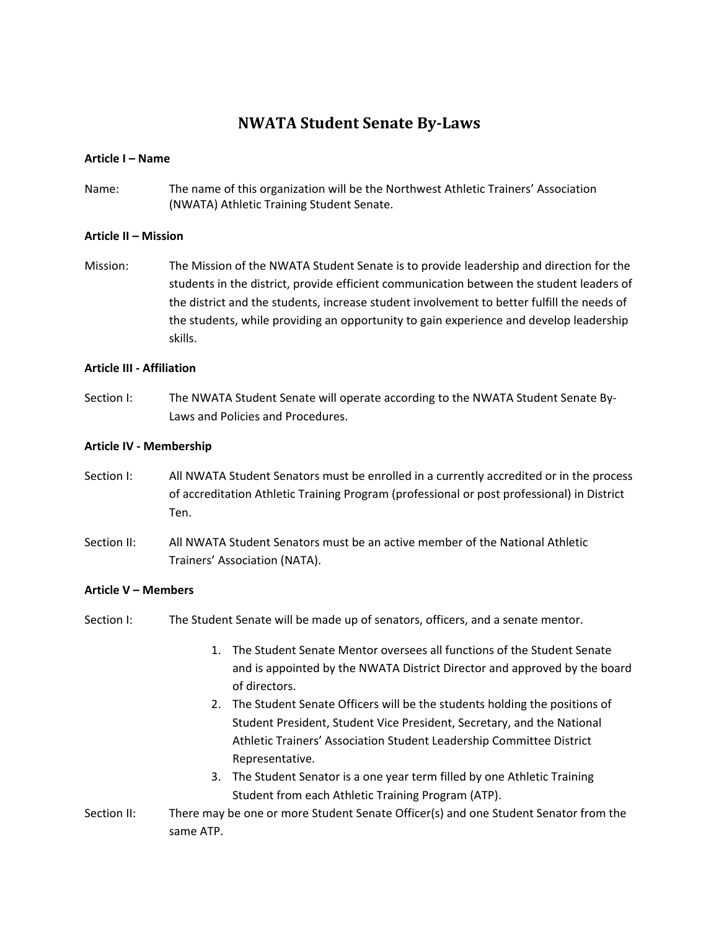# **NWATA Student Senate By-Laws**

# **Article I – Name**

Name: The name of this organization will be the Northwest Athletic Trainers' Association (NWATA) Athletic Training Student Senate.

# **Article II – Mission**

Mission: The Mission of the NWATA Student Senate is to provide leadership and direction for the students in the district, provide efficient communication between the student leaders of the district and the students, increase student involvement to better fulfill the needs of the students, while providing an opportunity to gain experience and develop leadership skills.

# **Article III - Affiliation**

Section I: The NWATA Student Senate will operate according to the NWATA Student Senate By-Laws and Policies and Procedures.

# **Article IV - Membership**

- Section I: All NWATA Student Senators must be enrolled in a currently accredited or in the process of accreditation Athletic Training Program (professional or post professional) in District Ten.
- Section II: All NWATA Student Senators must be an active member of the National Athletic Trainers' Association (NATA).

#### **Article V – Members**

- Section I: The Student Senate will be made up of senators, officers, and a senate mentor.
	- 1. The Student Senate Mentor oversees all functions of the Student Senate and is appointed by the NWATA District Director and approved by the board of directors.
	- 2. The Student Senate Officers will be the students holding the positions of Student President, Student Vice President, Secretary, and the National Athletic Trainers' Association Student Leadership Committee District Representative.
	- 3. The Student Senator is a one year term filled by one Athletic Training Student from each Athletic Training Program (ATP).
- Section II: There may be one or more Student Senate Officer(s) and one Student Senator from the same ATP.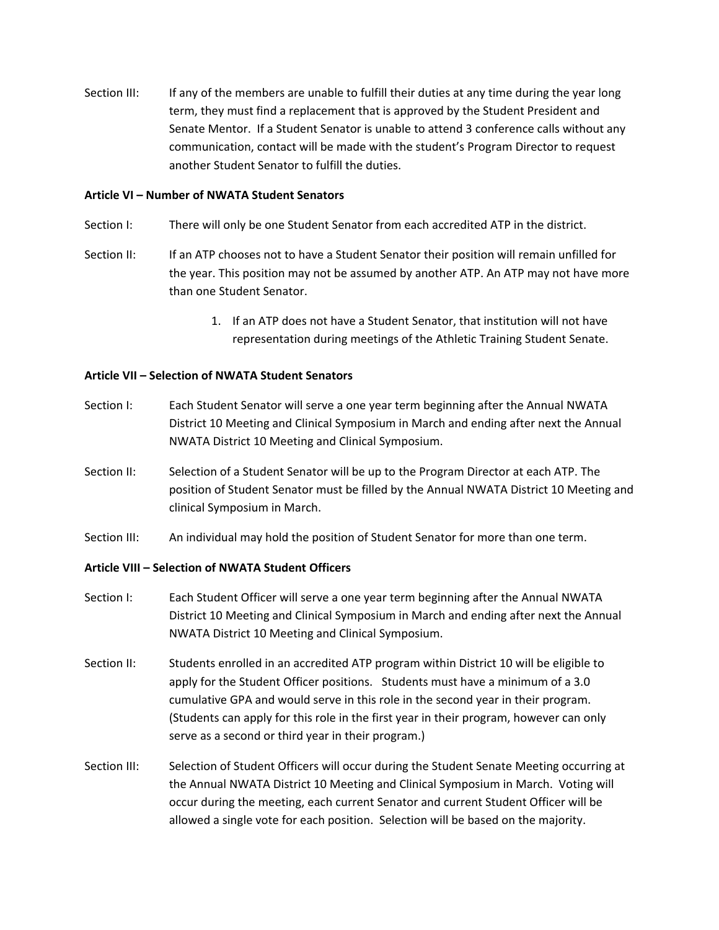Section III: If any of the members are unable to fulfill their duties at any time during the year long term, they must find a replacement that is approved by the Student President and Senate Mentor. If a Student Senator is unable to attend 3 conference calls without any communication, contact will be made with the student's Program Director to request another Student Senator to fulfill the duties.

#### **Article VI – Number of NWATA Student Senators**

- Section I: There will only be one Student Senator from each accredited ATP in the district.
- Section II: If an ATP chooses not to have a Student Senator their position will remain unfilled for the year. This position may not be assumed by another ATP. An ATP may not have more than one Student Senator.
	- 1. If an ATP does not have a Student Senator, that institution will not have representation during meetings of the Athletic Training Student Senate.

# **Article VII – Selection of NWATA Student Senators**

- Section I: Each Student Senator will serve a one year term beginning after the Annual NWATA District 10 Meeting and Clinical Symposium in March and ending after next the Annual NWATA District 10 Meeting and Clinical Symposium.
- Section II: Selection of a Student Senator will be up to the Program Director at each ATP. The position of Student Senator must be filled by the Annual NWATA District 10 Meeting and clinical Symposium in March.
- Section III: An individual may hold the position of Student Senator for more than one term.

#### **Article VIII – Selection of NWATA Student Officers**

- Section I: Each Student Officer will serve a one year term beginning after the Annual NWATA District 10 Meeting and Clinical Symposium in March and ending after next the Annual NWATA District 10 Meeting and Clinical Symposium.
- Section II: Students enrolled in an accredited ATP program within District 10 will be eligible to apply for the Student Officer positions. Students must have a minimum of a 3.0 cumulative GPA and would serve in this role in the second year in their program. (Students can apply for this role in the first year in their program, however can only serve as a second or third year in their program.)
- Section III: Selection of Student Officers will occur during the Student Senate Meeting occurring at the Annual NWATA District 10 Meeting and Clinical Symposium in March. Voting will occur during the meeting, each current Senator and current Student Officer will be allowed a single vote for each position. Selection will be based on the majority.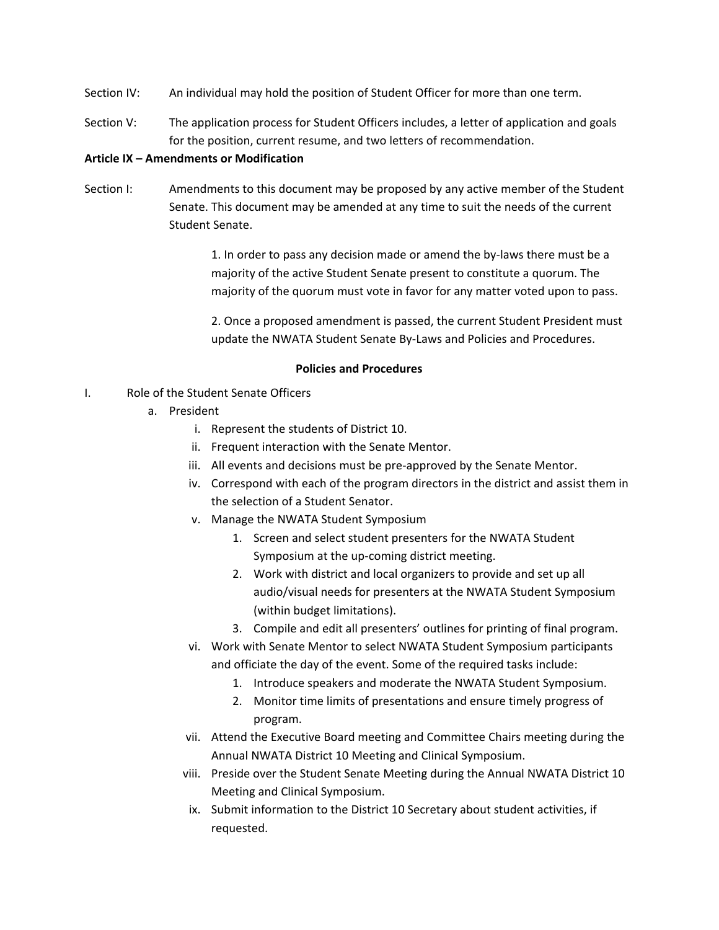- Section IV: An individual may hold the position of Student Officer for more than one term.
- Section V: The application process for Student Officers includes, a letter of application and goals for the position, current resume, and two letters of recommendation.

# **Article IX – Amendments or Modification**

Section I: Amendments to this document may be proposed by any active member of the Student Senate. This document may be amended at any time to suit the needs of the current Student Senate.

> 1. In order to pass any decision made or amend the by-laws there must be a majority of the active Student Senate present to constitute a quorum. The majority of the quorum must vote in favor for any matter voted upon to pass.

2. Once a proposed amendment is passed, the current Student President must update the NWATA Student Senate By-Laws and Policies and Procedures.

#### **Policies and Procedures**

- I. Role of the Student Senate Officers
	- a. President
		- i. Represent the students of District 10.
		- ii. Frequent interaction with the Senate Mentor.
		- iii. All events and decisions must be pre-approved by the Senate Mentor.
		- iv. Correspond with each of the program directors in the district and assist them in the selection of a Student Senator.
		- v. Manage the NWATA Student Symposium
			- 1. Screen and select student presenters for the NWATA Student Symposium at the up-coming district meeting.
			- 2. Work with district and local organizers to provide and set up all audio/visual needs for presenters at the NWATA Student Symposium (within budget limitations).
			- 3. Compile and edit all presenters' outlines for printing of final program.
		- vi. Work with Senate Mentor to select NWATA Student Symposium participants and officiate the day of the event. Some of the required tasks include:
			- 1. Introduce speakers and moderate the NWATA Student Symposium.
			- 2. Monitor time limits of presentations and ensure timely progress of program.
		- vii. Attend the Executive Board meeting and Committee Chairs meeting during the Annual NWATA District 10 Meeting and Clinical Symposium.
		- viii. Preside over the Student Senate Meeting during the Annual NWATA District 10 Meeting and Clinical Symposium.
		- ix. Submit information to the District 10 Secretary about student activities, if requested.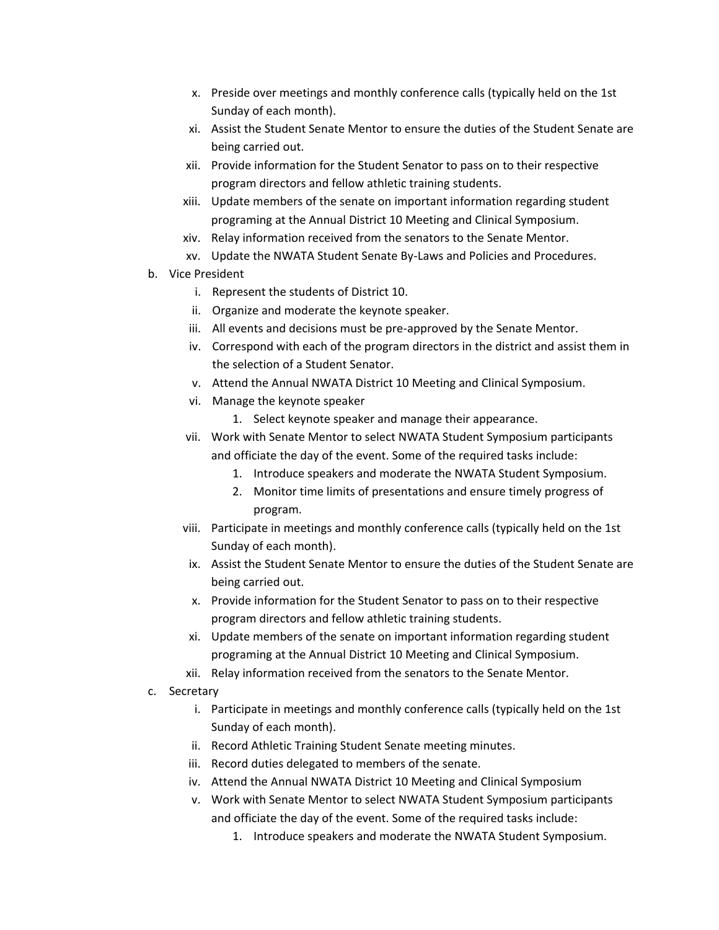- x. Preside over meetings and monthly conference calls (typically held on the 1st Sunday of each month).
- xi. Assist the Student Senate Mentor to ensure the duties of the Student Senate are being carried out.
- xii. Provide information for the Student Senator to pass on to their respective program directors and fellow athletic training students.
- xiii. Update members of the senate on important information regarding student programing at the Annual District 10 Meeting and Clinical Symposium.
- xiv. Relay information received from the senators to the Senate Mentor.
- xv. Update the NWATA Student Senate By-Laws and Policies and Procedures.
- b. Vice President
	- i. Represent the students of District 10.
	- ii. Organize and moderate the keynote speaker.
	- iii. All events and decisions must be pre-approved by the Senate Mentor.
	- iv. Correspond with each of the program directors in the district and assist them in the selection of a Student Senator.
	- v. Attend the Annual NWATA District 10 Meeting and Clinical Symposium.
	- vi. Manage the keynote speaker
		- 1. Select keynote speaker and manage their appearance.
	- vii. Work with Senate Mentor to select NWATA Student Symposium participants and officiate the day of the event. Some of the required tasks include:
		- 1. Introduce speakers and moderate the NWATA Student Symposium.
		- 2. Monitor time limits of presentations and ensure timely progress of program.
	- viii. Participate in meetings and monthly conference calls (typically held on the 1st Sunday of each month).
	- ix. Assist the Student Senate Mentor to ensure the duties of the Student Senate are being carried out.
	- x. Provide information for the Student Senator to pass on to their respective program directors and fellow athletic training students.
	- xi. Update members of the senate on important information regarding student programing at the Annual District 10 Meeting and Clinical Symposium.
	- xii. Relay information received from the senators to the Senate Mentor.
- c. Secretary
	- i. Participate in meetings and monthly conference calls (typically held on the 1st Sunday of each month).
	- ii. Record Athletic Training Student Senate meeting minutes.
	- iii. Record duties delegated to members of the senate.
	- iv. Attend the Annual NWATA District 10 Meeting and Clinical Symposium
	- v. Work with Senate Mentor to select NWATA Student Symposium participants and officiate the day of the event. Some of the required tasks include:
		- 1. Introduce speakers and moderate the NWATA Student Symposium.